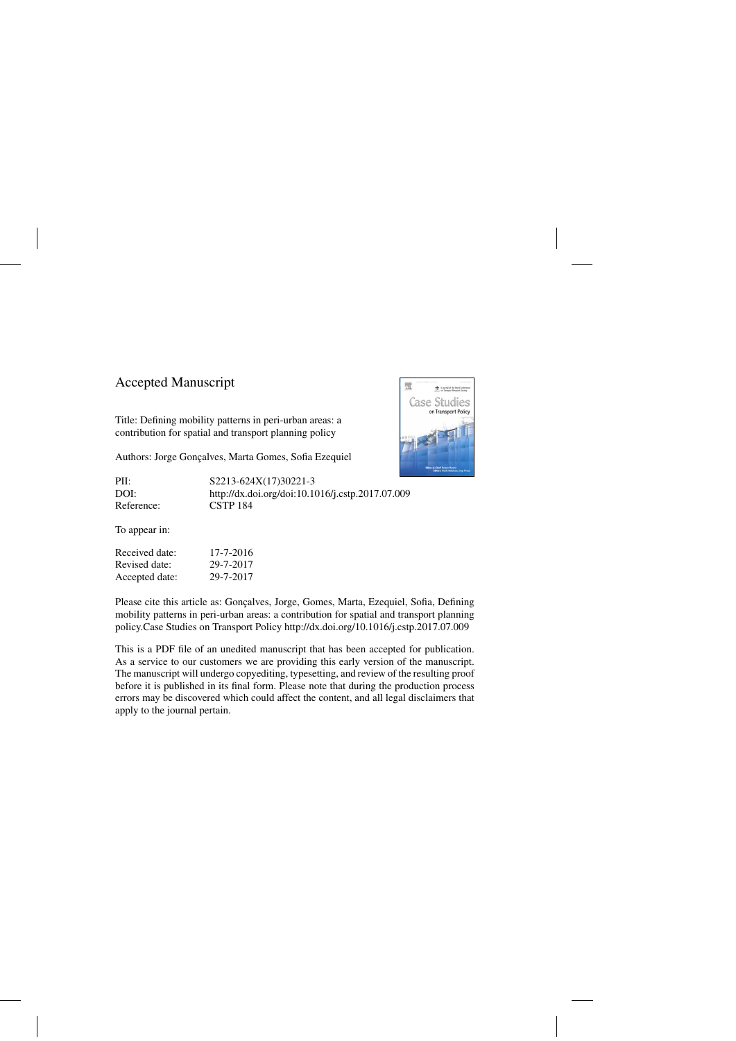## Accepted Manuscript

Title: Defining mobility patterns in peri-urban areas: a contribution for spatial and transport planning policy

Authors: Jorge Gonçalves, Marta Gomes, Sofia Ezequiel



To appear in:

| Received date: | 17-7-2016 |
|----------------|-----------|
| Revised date:  | 29-7-2017 |
| Accepted date: | 29-7-2017 |

Please cite this article as: Gonçalves, Jorge, Gomes, Marta, Ezequiel, Sofia, Defining mobility patterns in peri-urban areas: a contribution for spatial and transport planning policy.Case Studies on Transport Policy<http://dx.doi.org/10.1016/j.cstp.2017.07.009>

This is a PDF file of an unedited manuscript that has been accepted for publication. As a service to our customers we are providing this early version of the manuscript. The manuscript will undergo copyediting, typesetting, and review of the resulting proof before it is published in its final form. Please note that during the production process errors may be discovered which could affect the content, and all legal disclaimers that apply to the journal pertain.

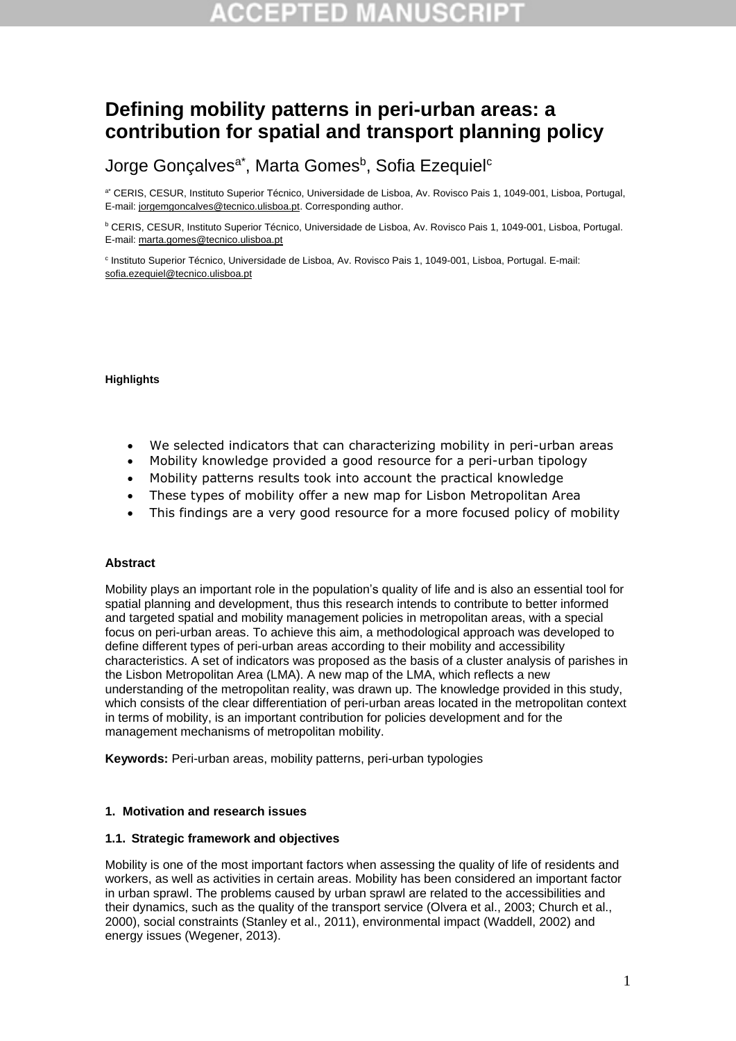# **Defining mobility patterns in peri-urban areas: a contribution for spatial and transport planning policy**

Jorge Gonçalves<sup>a\*</sup>, Marta Gomes<sup>b</sup>, Sofia Ezequiel<sup>c</sup>

a\* CERIS, CESUR, Instituto Superior Técnico, Universidade de Lisboa, Av. Rovisco Pais 1, 1049-001, Lisboa, Portugal, E-mail: [jorgemgoncalves@tecnico.ulisboa.pt.](mailto:jorgemgoncalves@tecnico.ulisboa.pt) Corresponding author.

<sup>b</sup> CERIS, CESUR, Instituto Superior Técnico, Universidade de Lisboa, Av. Rovisco Pais 1, 1049-001, Lisboa, Portugal. E-mail: [marta.gomes@tecnico.ulisboa.pt](mailto:marta.gomes@tecnico.ulisboa.pt)

c Instituto Superior Técnico, Universidade de Lisboa, Av. Rovisco Pais 1, 1049-001, Lisboa, Portugal. E-mail: [sofia.ezequiel@tecnico.ulisboa.pt](mailto:sofia.ezequiel@tecnico.ulisboa.pt)

#### **Highlights**

- We selected indicators that can characterizing mobility in peri-urban areas
- Mobility knowledge provided a good resource for a peri-urban tipology
- Mobility patterns results took into account the practical knowledge
- These types of mobility offer a new map for Lisbon Metropolitan Area
- This findings are a very good resource for a more focused policy of mobility

### **Abstract**

Mobility plays an important role in the population's quality of life and is also an essential tool for spatial planning and development, thus this research intends to contribute to better informed and targeted spatial and mobility management policies in metropolitan areas, with a special focus on peri-urban areas. To achieve this aim, a methodological approach was developed to define different types of peri-urban areas according to their mobility and accessibility characteristics. A set of indicators was proposed as the basis of a cluster analysis of parishes in the Lisbon Metropolitan Area (LMA). A new map of the LMA, which reflects a new understanding of the metropolitan reality, was drawn up. The knowledge provided in this study, which consists of the clear differentiation of peri-urban areas located in the metropolitan context in terms of mobility, is an important contribution for policies development and for the management mechanisms of metropolitan mobility.

**Keywords:** Peri-urban areas, mobility patterns, peri-urban typologies

#### **1. Motivation and research issues**

#### **1.1. Strategic framework and objectives**

Mobility is one of the most important factors when assessing the quality of life of residents and workers, as well as activities in certain areas. Mobility has been considered an important factor in urban sprawl. The problems caused by urban sprawl are related to the accessibilities and their dynamics, such as the quality of the transport service (Olvera et al., 2003; Church et al., 2000), social constraints (Stanley et al., 2011), environmental impact (Waddell, 2002) and energy issues (Wegener, 2013).